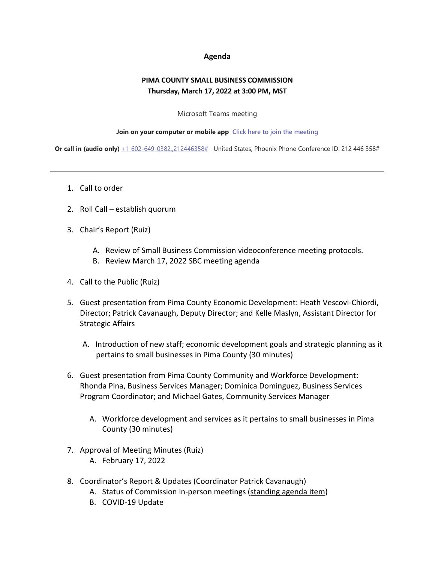## **Agenda**

## **PIMA COUNTY SMALL BUSINESS COMMISSION Thursday, March 17, 2022 at 3:00 PM, MST**

## Microsoft Teams meeting

## **Join on your computer or mobile app [Click here to join the meeting](https://teams.microsoft.com/l/meetup-join/19%3ameeting_YTZkZTYxY2ItOTVkZC00NTFjLTljYjktYzU0NTBiYzIyMjQ2%40thread.v2/0?context=%7b%22Tid%22%3a%2233b6e2c3-0b1a-4879-b741-47461a6c1a89%22%2c%22Oid%22%3a%22c8e42fc0-da56-4d64-b5c6-6be70931590e%22%7d)**

**Or call in (audio only)** [+1 602-649-0382,,212446358#](tel:+16026490382,,212446358#%20) United States, Phoenix Phone Conference ID: 212 446 358#

- 1. Call to order
- 2. Roll Call establish quorum
- 3. Chair's Report (Ruiz)
	- A. Review of Small Business Commission videoconference meeting protocols.
	- B. Review March 17, 2022 SBC meeting agenda
- 4. Call to the Public (Ruiz)
- 5. Guest presentation from Pima County Economic Development: Heath Vescovi-Chiordi, Director; Patrick Cavanaugh, Deputy Director; and Kelle Maslyn, Assistant Director for Strategic Affairs
	- A. Introduction of new staff; economic development goals and strategic planning as it pertains to small businesses in Pima County (30 minutes)
- 6. Guest presentation from Pima County Community and Workforce Development: Rhonda Pina, Business Services Manager; Dominica Dominguez, Business Services Program Coordinator; and Michael Gates, Community Services Manager
	- A. Workforce development and services as it pertains to small businesses in Pima County (30 minutes)
- 7. Approval of Meeting Minutes (Ruiz)
	- A. February 17, 2022
- 8. Coordinator's Report & Updates (Coordinator Patrick Cavanaugh)
	- A. Status of Commission in-person meetings (standing agenda item)
	- B. COVID-19 Update